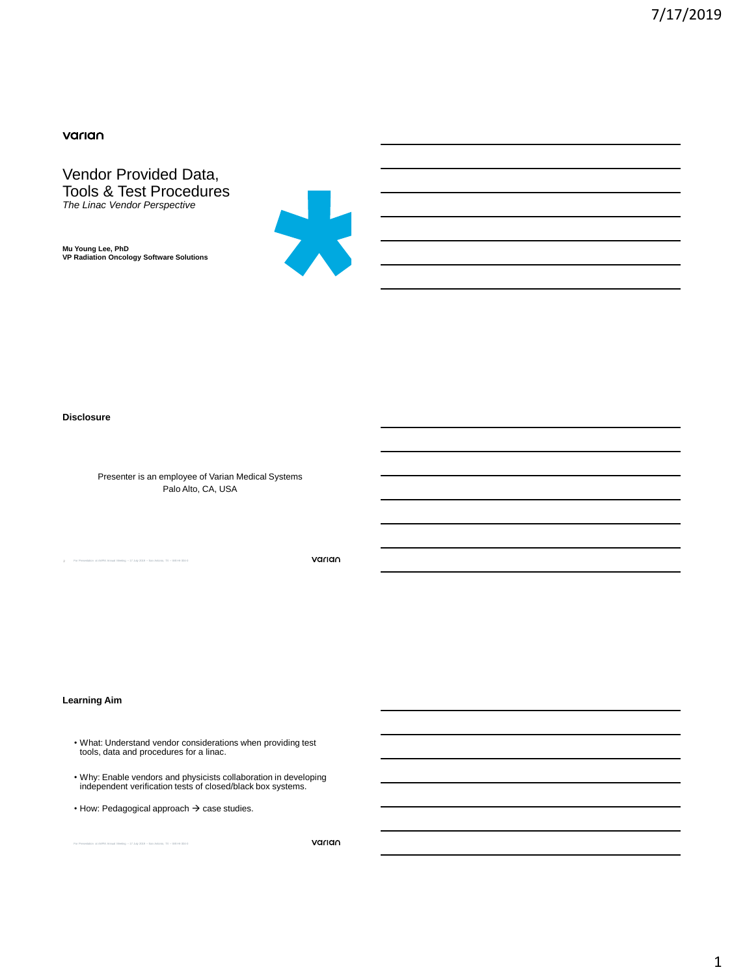# varian

Vendor Provided Data, Tools & Test Procedures *The Linac Vendor Perspective*

**Mu Young Lee, PhD VP Radiation Oncology Software Solutions**



### **Disclosure**

Presenter is an employee of Varian Medical Systems Palo Alto, CA, USA

For Presentation at AAPM Annual Meeting – 17 July 2019 – San Antonio, TX – WE-HI-304-0

varian

### **Learning Aim**

- What: Understand vendor considerations when providing test tools, data and procedures for a linac.
- Why: Enable vendors and physicists collaboration in developing independent verification tests of closed/black box systems.
- $\cdot$  How: Pedagogical approach  $\rightarrow$  case studies.

For Presentation at AAPM Annual Meeting – 17 July 2019 – San Antonio, TX – WE-HI-304-0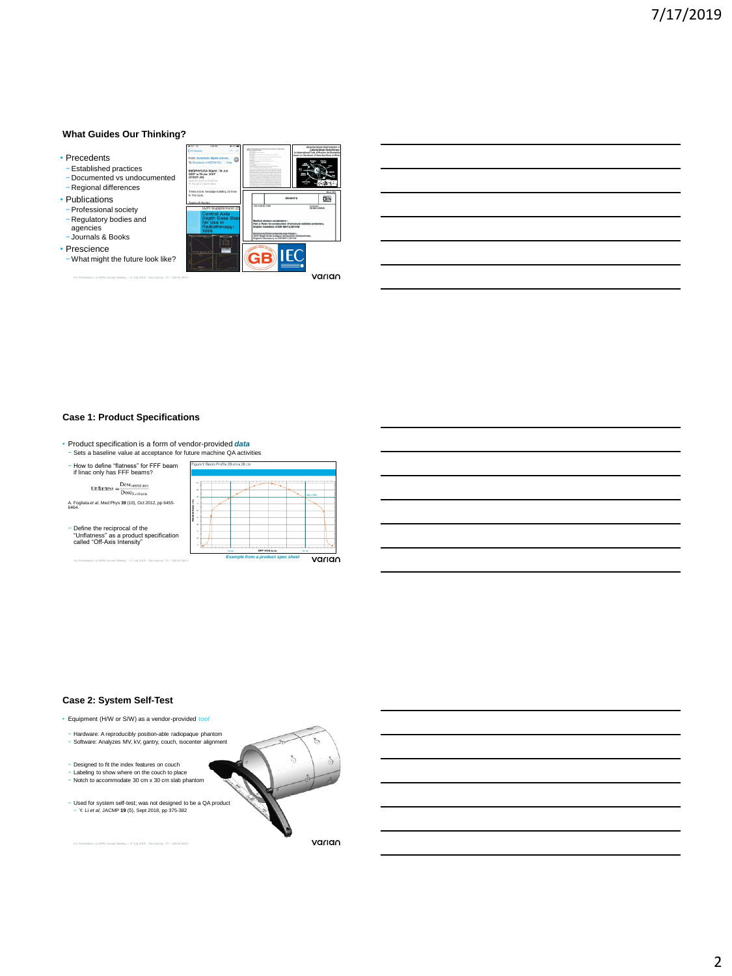### **What Guides Our Thinking?**

- Precedents
- −Established practices
- − Documented vs undocumented
- − Regional differences • Publications
- −Professional society
- − Regulatory bodies and agencies
- − Journals & Books
- Prescience
- −What might the future look like?

|                                                                                        | <br>141.00<br><b>All revous</b><br>AC N                                     | between the disposable stated whereas determined and<br>St.Mill. and research                                     | Streethed Dogs Determination is<br>Concret Dean Defenters<br>Local on Standards of Alternbed Brow to |
|----------------------------------------------------------------------------------------|-----------------------------------------------------------------------------|-------------------------------------------------------------------------------------------------------------------|------------------------------------------------------------------------------------------------------|
| ecedents                                                                               | From: Automatic digest proces    dff<br>To Democrats at ARTICLES CO., 1994. |                                                                                                                   |                                                                                                      |
| Established practices                                                                  | MEDIVINISM Digest - 56 Apr.                                                 |                                                                                                                   |                                                                                                      |
| Documented vs undocumented                                                             | 2007 to 19 Jun 2007<br>(#2007-46)                                           |                                                                                                                   |                                                                                                      |
|                                                                                        | sing to 2007 at a college<br>77 Forest C Link School                        |                                                                                                                   |                                                                                                      |
| Regional differences                                                                   |                                                                             |                                                                                                                   |                                                                                                      |
|                                                                                        | There is one reasonge totaling 20 ines.<br>in this incon-                   |                                                                                                                   |                                                                                                      |
| <b>ublications</b>                                                                     | trains of the six                                                           |                                                                                                                   | DIN<br><b>INN GRAY JI</b>                                                                            |
|                                                                                        | <b>BJR Supplement 2</b>                                                     | <b>STATI AND RD TO AND</b>                                                                                        | Superiorist<br>US-Mail J (1998-19                                                                    |
| Professional societv                                                                   | <b>Central Axis</b>                                                         |                                                                                                                   |                                                                                                      |
| Regulatory bodies and                                                                  | <b>Depth Dose Data</b><br>for Use in                                        | Medical electron accelerators -                                                                                   |                                                                                                      |
| agencies                                                                               | Radiotherapy:                                                               | Part 3: Rales for construction of shrucharat radiation protection<br>Enable frampleton of Dist 6547-2-2014-63     |                                                                                                      |
|                                                                                        | 1996                                                                        | sche Elektronenbeachleuniger Anlagen                                                                              |                                                                                                      |
| lournals & Books                                                                       |                                                                             | Tel 2 Regeln für die Auslegung des baufohen Direkterschutzes.<br>Enable Per Liberationna von Diff. 65c7-2-2014-02 |                                                                                                      |
|                                                                                        |                                                                             |                                                                                                                   |                                                                                                      |
| escience:                                                                              |                                                                             |                                                                                                                   |                                                                                                      |
| Vhat might the future look like?                                                       |                                                                             | <b>GP</b>                                                                                                         | <b>IEC</b>                                                                                           |
|                                                                                        |                                                                             |                                                                                                                   |                                                                                                      |
|                                                                                        |                                                                             |                                                                                                                   |                                                                                                      |
| For Presentation at AAPM Annual Meeting - 17 July 2019 - San Antonio, TX - WE-HI-304-0 |                                                                             |                                                                                                                   | varıan                                                                                               |

### **Case 1: Product Specifications**

- Product specification is a form of vendor-provided *data*
- − Sets a baseline value at acceptance for future machine QA activities

| - How to define "flatness" for FFF beam<br>if linac only has FFF beams?                                          | Figure 1: Beam Profile 28 cm x 28 cm            |
|------------------------------------------------------------------------------------------------------------------|-------------------------------------------------|
| $\label{eq:unflattness} Unflattness = \frac{\text{Dose}_{\text{central axis}}}{\text{Dose}_{\text{X.eff-axis}}}$ | dutch New                                       |
| A. Fogliata et al. Med Phys 39 (10). Oct 2012, pp 6455-<br>6464                                                  | c                                               |
| - Define the reciprocal of the<br>"Unflatness" as a product specification<br>called "Off-Axis Intensity"         | $\overline{a}$<br>OFF AXIS (cm)<br>13,740       |
| For Presentation at AAPM Annual Meeting - 17 July 2019 - San Antonio, TX - WE-HI-304-0                           | <b>Example from a product spec sheet</b><br>var |

### **Case 2: System Self-Test**

For Presentation at AAPM Annual Meeting – 17 July 2019 – San Antonio, TX – WE-HI-304-0

• Equipment (H/W or S/W) as a vendor-provided *tool* − Hardware: A reproducibly position-able radiopaque phantom − Software: Analyzes MV, kV, gantry, couch, isocenter alignment − Designed to fit the index features on couch − Labeling to show where on the couch to place − Notch to accommodate 30 cm x 30 cm slab phantom − Used for system self-test; was not designed to be a QA product − Y. Li *et al*, JACMP **19** (5), Sept 2018, pp 375-382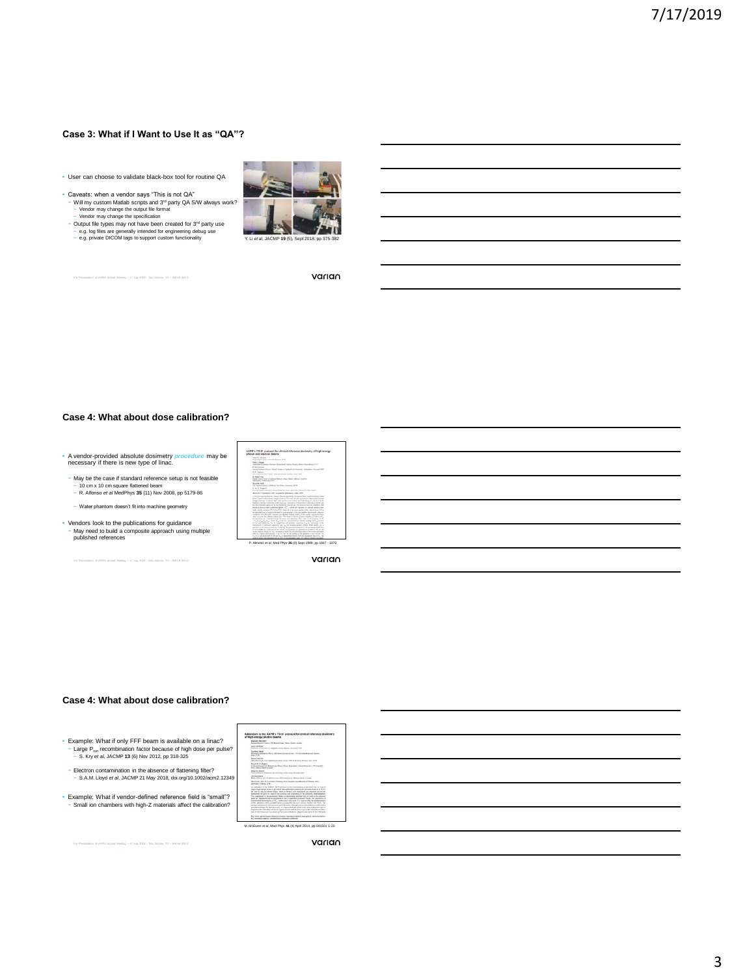### **Case 3: What if I Want to Use It as "QA"?**

- User can choose to validate black-box tool for routine QA
- 
- 
- 



For Presentation at AAPM Annual Meeting – 17 July 2019 – San Antonio, TX – WE-HI-304-0

varian

### **Case 4: What about dose calibration?**

- A vendor-provided absolute dosimetry *procedure* may be necessary if there is new type of linac.
- 
- − May be the case if standard reference setup is not feasible − 10 cm x 10 cm square flattened beam − R. Alfonso *et al* MedPhys **35** (11) Nov 2008, pp 5179-86
- − Water phantom doesn't fit into machine geometry
- Vendors look to the publications for guidance − May need to build a composite approach using multiple published references

For Presentation at AAPM Annual Meeting – 17 July 2019 – San Antonio, TX – WE-HI-304-0



varian

### **Case 4: What about dose calibration?**

• Example: What if only FFF beam is available on a linac? − Large Pion recombination factor because of high dose per pulse? − S. Kry *et al*, JACMP **13** (6) Nov 2012, pp 318-325

- − Electron contamination in the absence of flattening filter? − S.A.M. Lloyd *et al*, JACMP 21 May 2018, doi.org/10.1002/acm2.12349
- Example: What if vendor-defined reference field is "small"? − Small ion chambers with high-Z materials affect the calibration?

| Motivate Stuffworth                                      | Report Australia Council (1995 Monteed Road, Edward Streets, Council                                                                                                                                                                                                                                                                                                                                                                                                                                                                                                                                                                                                                                                                                                                                                                                                                                                                                                                                                                                                                                                                                     |
|----------------------------------------------------------|----------------------------------------------------------------------------------------------------------------------------------------------------------------------------------------------------------------------------------------------------------------------------------------------------------------------------------------------------------------------------------------------------------------------------------------------------------------------------------------------------------------------------------------------------------------------------------------------------------------------------------------------------------------------------------------------------------------------------------------------------------------------------------------------------------------------------------------------------------------------------------------------------------------------------------------------------------------------------------------------------------------------------------------------------------------------------------------------------------------------------------------------------------|
|                                                          |                                                                                                                                                                                                                                                                                                                                                                                                                                                                                                                                                                                                                                                                                                                                                                                                                                                                                                                                                                                                                                                                                                                                                          |
| Lion Debbat                                              | England of Married ATT Stations Number Modern Missouri ATES                                                                                                                                                                                                                                                                                                                                                                                                                                                                                                                                                                                                                                                                                                                                                                                                                                                                                                                                                                                                                                                                                              |
| <b>Gordon More</b><br>Aug 7640                           | <b>Brigador of Bulletin Photo: 45 E.A.</b><br>and all processible paid. A fell all the top state the set                                                                                                                                                                                                                                                                                                                                                                                                                                                                                                                                                                                                                                                                                                                                                                                                                                                                                                                                                                                                                                                 |
| <b>Robert All Montgomers</b>                             | Will shares in Care, Automotives Corp. (Will By Any Street, New York)                                                                                                                                                                                                                                                                                                                                                                                                                                                                                                                                                                                                                                                                                                                                                                                                                                                                                                                                                                                                                                                                                    |
| <b>Fault of Ity Brown</b><br>Richa Grana Associa Castale | Automobile of Automobile Plant Transitioning Education Income 177 (Transition                                                                                                                                                                                                                                                                                                                                                                                                                                                                                                                                                                                                                                                                                                                                                                                                                                                                                                                                                                                                                                                                            |
| <b>Baltimo Baltimo</b>                                   | Assistant dealers of Transfer to and The Archael Challenging, Manufacturi 2004                                                                                                                                                                                                                                                                                                                                                                                                                                                                                                                                                                                                                                                                                                                                                                                                                                                                                                                                                                                                                                                                           |
| Art Secretary Corp.                                      | Multiple Moura line, 44 kill Edmonton, MATCA-AC Avenue, Martinet, Cheffer, Chevett,                                                                                                                                                                                                                                                                                                                                                                                                                                                                                                                                                                                                                                                                                                                                                                                                                                                                                                                                                                                                                                                                      |
| AREAM TOWAY WEEK                                         | Beautifules 2015 accept Military 2011 accept by additional Milayari 2011.                                                                                                                                                                                                                                                                                                                                                                                                                                                                                                                                                                                                                                                                                                                                                                                                                                                                                                                                                                                                                                                                                |
|                                                          | As addition to the AMWH TO FE period for the determining of aborted does to want to<br>procedure show boxes is provided. The addition continue the structure had not in Work-<br>be not it, das for phone hum. Send in Moto Carb southern, an attended and room.<br>besides an inch is maintain in access and contains of its statute residentials.<br>The compression of the associated budget to discussions absorbed does to make at the schools of<br>way an interfect staff for markeds of suit company Autured Finds, the continues of<br>excessed department of No. 2008-2-80 Council N.A. (concentrate the first excession<br>of the addition will be straightforward, pressing than be used to private busine with Wo fit. The<br>shares introduced to the count are expectly move, allowed two excess policies, and a policie<br>procedural changes for and retail second the papertrait that the first and by mode of all over the transfer of<br>interference this address on till and in country and and it by done a cost of the press from colline.<br>the 20 William and American of Plaza as a Modern Higgs for an exhibit that manners |
|                                                          | for work shore found. Amount polosyl, heatable charity, bust politic constraint between                                                                                                                                                                                                                                                                                                                                                                                                                                                                                                                                                                                                                                                                                                                                                                                                                                                                                                                                                                                                                                                                  |

For Presentation at AAPM Annual Meeting – 17 July 2019 – San Antonio, TX – WE-HI-304-0

### varian

# 3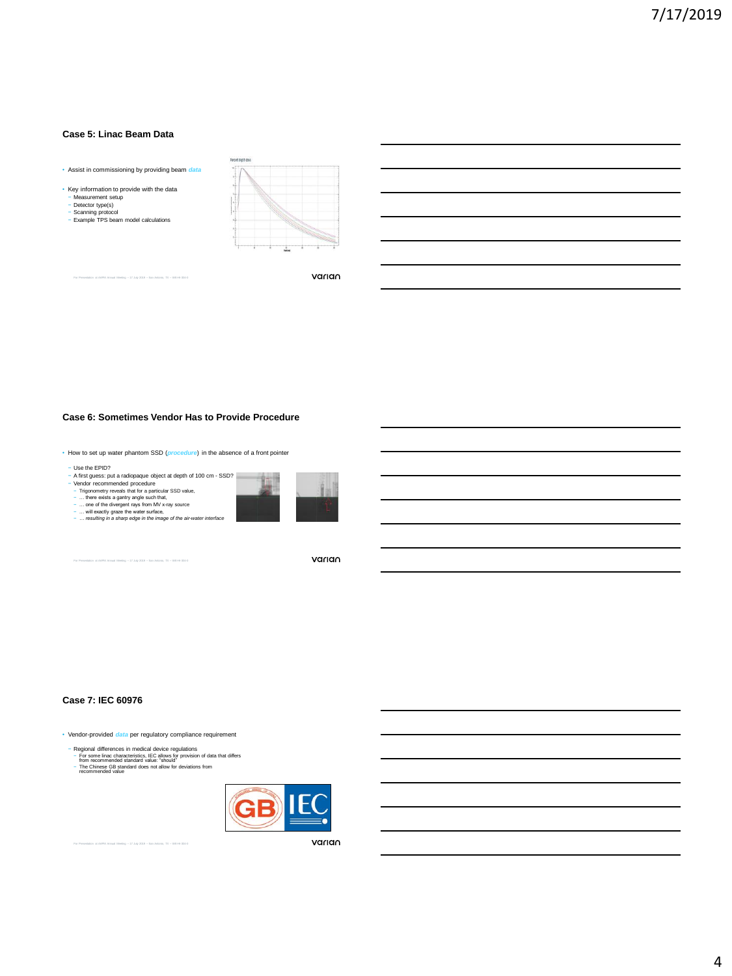### **Case 5: Linac Beam Data**

• Assist in commissioning by providing beam *data*

For Presentation at AAPM Annual Meeting – 17 July 2019 – San Antonio, TX – WE-HI-304-0



- 
- − Detector type(s) − Scanning protocol − Example TPS beam model calculations
- T

varian

### **Case 6: Sometimes Vendor Has to Provide Procedure**

• How to set up water phantom SSD (*procedure*) in the absence of a front pointer

- 
- 

- Use the EPID?<br>  $\sim$  A first guess: put a radiopaque object at depth of 100 cm - SSD?<br>  $\sim$  Vendor recommended procedure<br>  $\sim$  - Wendows agently ande such that,<br>  $\sim$  ... there exists a garrity ande such that,<br>  $\sim$  ...



For Presentation at AAPM Annual Meeting – 17 July 2019 – San Antonio, TX – WE-HI-304-0

varian

### **Case 7: IEC 60976**

• Vendor-provided *data* per regulatory compliance requirement

- Regional differences in medical device regulations<br>- For some line characteristics, IEC allows for provision of data that differs<br>from recommended standard value: "should"<br>- The Chinese GB standard does not allow for dev
- 



For Presentation at AAPM Annual Meeting – 17 July 2019 – San Antonio, TX – WE-HI-304-0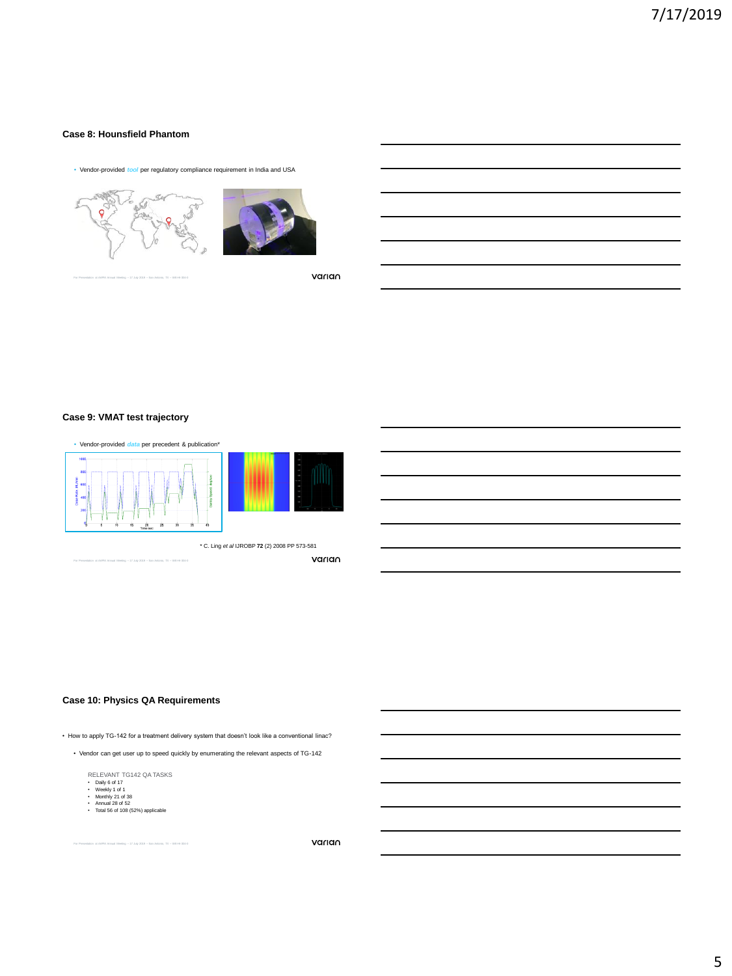# **Case 8: Hounsfield Phantom**

• Vendor-provided *tool* per regulatory compliance requirement in India and USA



For Presentation at AAPM Annual Meeting – 17 July 2019 – San Antonio, TX – WE-HI-304-0



varian

### **Case 9: VMAT test trajectory**



### **Case 10: Physics QA Requirements**

• How to apply TG-142 for a treatment delivery system that doesn't look like a conventional linac?

• Vendor can get user up to speed quickly by enumerating the relevant aspects of TG-142

RELEVANT TG142 QA TASKS<br>• Daily 6 of 17<br>• Weekly 1 of 1<br>• Monthly 21 of 38<br>• Annual 28 of 52<br>• Total 56 of 108 (52%) applicable

- 
- 
- 
- 

 $M$ eeting  $-17$  July 2019 – San